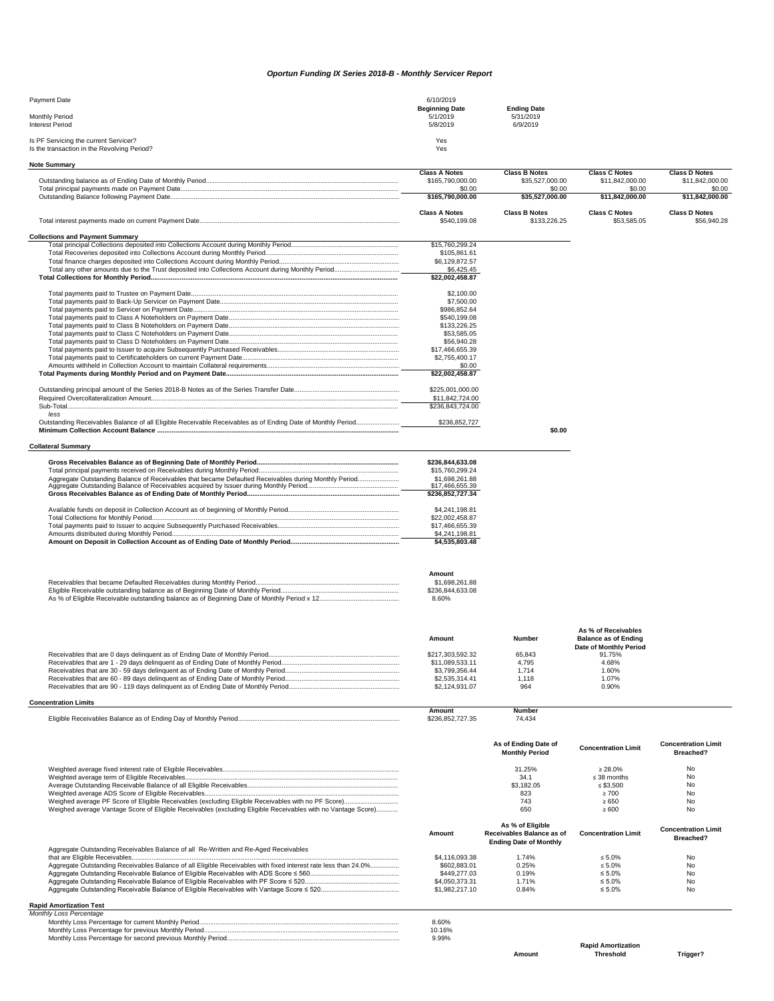## *Oportun Funding IX Series 2018-B - Monthly Servicer Report*

| Payment Date                                | 6/10/2019             |                    |
|---------------------------------------------|-----------------------|--------------------|
|                                             | <b>Beginning Date</b> | <b>Ending Date</b> |
| Monthly Period                              | 5/1/2019              | 5/31/2019          |
| <b>Interest Period</b>                      | 5/8/2019              | 6/9/2019           |
| Is PF Servicing the current Servicer?       | Yes                   |                    |
| Is the transaction in the Revolving Period? | Yes                   |                    |

| <b>Note Summary</b>                                                                                            |                                          |                                                            |                                                    |                                         |
|----------------------------------------------------------------------------------------------------------------|------------------------------------------|------------------------------------------------------------|----------------------------------------------------|-----------------------------------------|
|                                                                                                                | <b>Class A Notes</b><br>\$165,790,000.00 | <b>Class B Notes</b><br>\$35,527,000.00                    | <b>Class C Notes</b><br>\$11,842,000.00            | <b>Class D Notes</b><br>\$11,842,000.00 |
|                                                                                                                | \$0.00<br>\$165,790,000.00               | \$0.00<br>\$35,527,000.00                                  | \$0.00<br>\$11,842,000.00                          | \$0.00<br>\$11,842,000.00               |
|                                                                                                                |                                          |                                                            |                                                    |                                         |
|                                                                                                                | <b>Class A Notes</b><br>\$540,199.08     | <b>Class B Notes</b><br>\$133,226.25                       | <b>Class C Notes</b><br>\$53,585.05                | <b>Class D Notes</b><br>\$56,940.28     |
| <b>Collections and Payment Summary</b>                                                                         |                                          |                                                            |                                                    |                                         |
|                                                                                                                | \$15,760,299.24                          |                                                            |                                                    |                                         |
|                                                                                                                | \$105,861.61<br>\$6,129,872.57           |                                                            |                                                    |                                         |
|                                                                                                                | \$6,425.45                               |                                                            |                                                    |                                         |
|                                                                                                                | \$22,002,458.87                          |                                                            |                                                    |                                         |
|                                                                                                                | \$2,100.00                               |                                                            |                                                    |                                         |
|                                                                                                                | \$7,500.00                               |                                                            |                                                    |                                         |
|                                                                                                                | \$986,852.64<br>\$540,199.08             |                                                            |                                                    |                                         |
|                                                                                                                | \$133,226.25                             |                                                            |                                                    |                                         |
|                                                                                                                | \$53,585.05                              |                                                            |                                                    |                                         |
|                                                                                                                | \$56,940.28                              |                                                            |                                                    |                                         |
|                                                                                                                | \$17,466,655.39<br>\$2,755,400.17        |                                                            |                                                    |                                         |
|                                                                                                                | \$0.00                                   |                                                            |                                                    |                                         |
|                                                                                                                | \$22,002,458.87                          |                                                            |                                                    |                                         |
|                                                                                                                | \$225,001,000.00                         |                                                            |                                                    |                                         |
|                                                                                                                | \$11,842,724.00<br>\$236,843,724.00      |                                                            |                                                    |                                         |
| less                                                                                                           |                                          |                                                            |                                                    |                                         |
|                                                                                                                | \$236,852,727                            | \$0.00                                                     |                                                    |                                         |
| <b>Collateral Summary</b>                                                                                      |                                          |                                                            |                                                    |                                         |
|                                                                                                                | \$236,844,633.08                         |                                                            |                                                    |                                         |
|                                                                                                                | \$15,760,299.24                          |                                                            |                                                    |                                         |
| Aggregate Outstanding Balance of Receivables that became Defaulted Receivables during Monthly Period           | \$1,698,261.88                           |                                                            |                                                    |                                         |
|                                                                                                                | \$17,466,655.39<br>\$236.852.727.34      |                                                            |                                                    |                                         |
|                                                                                                                | \$4,241,198.81                           |                                                            |                                                    |                                         |
|                                                                                                                | \$22,002,458.87                          |                                                            |                                                    |                                         |
|                                                                                                                | \$17,466,655.39<br>\$4,241,198.81        |                                                            |                                                    |                                         |
|                                                                                                                | \$4,535,803.48                           |                                                            |                                                    |                                         |
|                                                                                                                |                                          |                                                            |                                                    |                                         |
|                                                                                                                | Amount                                   |                                                            |                                                    |                                         |
|                                                                                                                | \$1,698,261.88                           |                                                            |                                                    |                                         |
|                                                                                                                | \$236,844,633.08<br>8.60%                |                                                            |                                                    |                                         |
|                                                                                                                |                                          |                                                            |                                                    |                                         |
|                                                                                                                |                                          |                                                            |                                                    |                                         |
|                                                                                                                | Amount                                   | <b>Number</b>                                              | As % of Receivables<br><b>Balance as of Ending</b> |                                         |
|                                                                                                                | \$217.303.592.32                         | 65,843                                                     | Date of Monthly Period<br>91.75%                   |                                         |
|                                                                                                                | \$11,089,533.11                          | 4,795                                                      | 4.68%                                              |                                         |
|                                                                                                                | \$3,799,356.44                           | 1,714                                                      | 1.60%                                              |                                         |
|                                                                                                                | \$2,535,314.41                           | 1,118                                                      | 1.07%                                              |                                         |
|                                                                                                                | \$2,124,931.07                           | 964                                                        | 0.90%                                              |                                         |
| <b>Concentration Limits</b>                                                                                    | Amount                                   | Number                                                     |                                                    |                                         |
|                                                                                                                | \$236,852,727.35                         | 74,434                                                     |                                                    |                                         |
|                                                                                                                |                                          | As of Ending Date of                                       | <b>Concentration Limit</b>                         | <b>Concentration Limit</b>              |
|                                                                                                                |                                          | <b>Monthly Period</b>                                      |                                                    | Breached?                               |
|                                                                                                                |                                          | 31.25%                                                     | $\geq 28.0\%$                                      | No                                      |
|                                                                                                                |                                          | 34.1<br>\$3.182.05                                         | $\leq$ 38 months                                   | No                                      |
|                                                                                                                |                                          | 823                                                        | $\leq$ \$3,500<br>$\geq 700$                       | No<br>No                                |
|                                                                                                                |                                          | 743                                                        | $\geq 650$                                         | No                                      |
| Weighed average Vantage Score of Eligible Receivables (excluding Eligible Receivables with no Vantage Score)   |                                          | 650                                                        | $\geq 600$                                         | No                                      |
|                                                                                                                |                                          | As % of Eligible                                           |                                                    | <b>Concentration Limit</b>              |
|                                                                                                                | Amount                                   | Receivables Balance as of<br><b>Ending Date of Monthly</b> | <b>Concentration Limit</b>                         | Breached?                               |
| Aggregate Outstanding Receivables Balance of all Re-Written and Re-Aged Receivables                            | \$4,116,093.38                           | 1.74%                                                      | $\leq 5.0\%$                                       | No                                      |
| Aggregate Outstanding Receivables Balance of all Eligible Receivables with fixed interest rate less than 24.0% | \$602.883.01                             | 0.25%                                                      | $\leq 5.0\%$                                       | No                                      |
|                                                                                                                | \$449,277.03                             | 0.19%                                                      | $\leq 5.0\%$                                       | No                                      |
|                                                                                                                | \$4,050,373.31                           | 1.71%                                                      | $\leq 5.0\%$                                       | No                                      |
|                                                                                                                | \$1,982,217.10                           | 0.84%                                                      | $\leq 5.0\%$                                       | No                                      |
| <b>Rapid Amortization Test</b>                                                                                 |                                          |                                                            |                                                    |                                         |

| Monthly Loss Percentage |        |
|-------------------------|--------|
|                         | 8.60%  |
|                         | 10.16% |
|                         | 9.99%  |

**Amount**

**Rapid Amortization Threshold Trigger?**